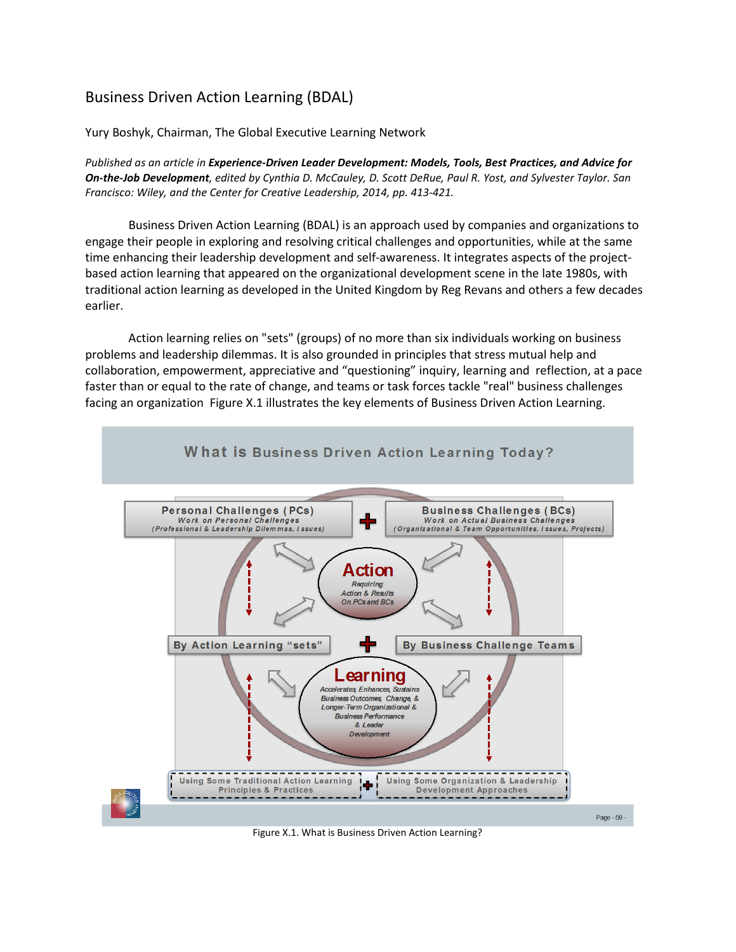# Business Driven Action Learning (BDAL)

Yury Boshyk, Chairman, The Global Executive Learning Network

*Published as an article in Experience-Driven Leader Development: Models, Tools, Best Practices, and Advice for On-the-Job Development, edited by Cynthia D. McCauley, D. Scott DeRue, Paul R. Yost, and Sylvester Taylor. San Francisco: Wiley, and the Center for Creative Leadership, 2014, pp. 413-421.*

Business Driven Action Learning (BDAL) is an approach used by companies and organizations to engage their people in exploring and resolving critical challenges and opportunities, while at the same time enhancing their leadership development and self-awareness. It integrates aspects of the projectbased action learning that appeared on the organizational development scene in the late 1980s, with traditional action learning as developed in the United Kingdom by Reg Revans and others a few decades earlier.

Action learning relies on "sets" (groups) of no more than six individuals working on business problems and leadership dilemmas. It is also grounded in principles that stress mutual help and collaboration, empowerment, appreciative and "questioning" inquiry, learning and reflection, at a pace faster than or equal to the rate of change, and teams or task forces tackle "real" business challenges facing an organization Figure X.1 illustrates the key elements of Business Driven Action Learning.



Figure X.1. What is Business Driven Action Learning?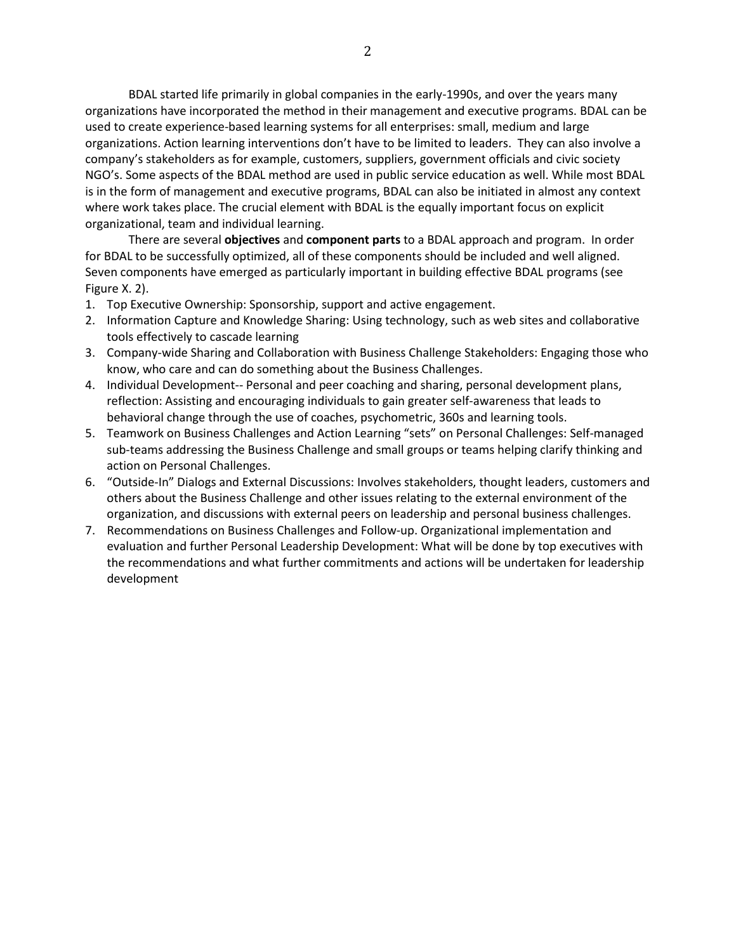BDAL started life primarily in global companies in the early-1990s, and over the years many organizations have incorporated the method in their management and executive programs. BDAL can be used to create experience-based learning systems for all enterprises: small, medium and large organizations. Action learning interventions don't have to be limited to leaders. They can also involve a company's stakeholders as for example, customers, suppliers, government officials and civic society NGO's. Some aspects of the BDAL method are used in public service education as well. While most BDAL is in the form of management and executive programs, BDAL can also be initiated in almost any context where work takes place. The crucial element with BDAL is the equally important focus on explicit organizational, team and individual learning.

There are several **objectives** and **component parts** to a BDAL approach and program. In order for BDAL to be successfully optimized, all of these components should be included and well aligned. Seven components have emerged as particularly important in building effective BDAL programs (see Figure X. 2).

- 1. Top Executive Ownership: Sponsorship, support and active engagement.
- 2. Information Capture and Knowledge Sharing: Using technology, such as web sites and collaborative tools effectively to cascade learning
- 3. Company-wide Sharing and Collaboration with Business Challenge Stakeholders: Engaging those who know, who care and can do something about the Business Challenges.
- 4. Individual Development-- Personal and peer coaching and sharing, personal development plans, reflection: Assisting and encouraging individuals to gain greater self-awareness that leads to behavioral change through the use of coaches, psychometric, 360s and learning tools.
- 5. Teamwork on Business Challenges and Action Learning "sets" on Personal Challenges: Self-managed sub-teams addressing the Business Challenge and small groups or teams helping clarify thinking and action on Personal Challenges.
- 6. "Outside-In" Dialogs and External Discussions: Involves stakeholders, thought leaders, customers and others about the Business Challenge and other issues relating to the external environment of the organization, and discussions with external peers on leadership and personal business challenges.
- 7. Recommendations on Business Challenges and Follow-up. Organizational implementation and evaluation and further Personal Leadership Development: What will be done by top executives with the recommendations and what further commitments and actions will be undertaken for leadership development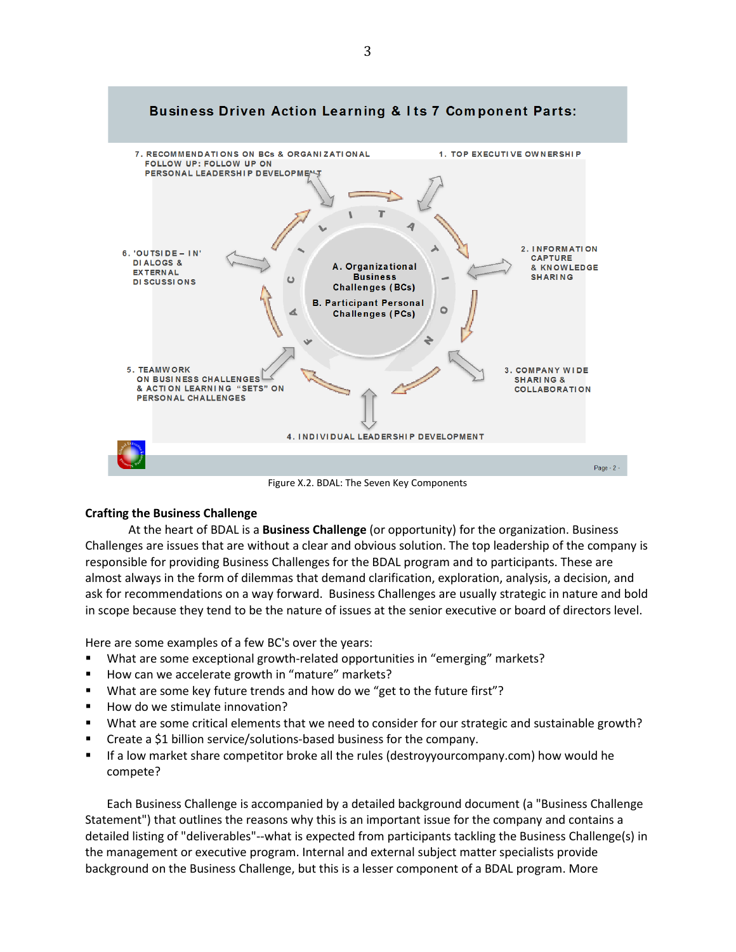

Figure X.2. BDAL: The Seven Key Components

### **Crafting the Business Challenge**

At the heart of BDAL is a **Business Challenge** (or opportunity) for the organization. Business Challenges are issues that are without a clear and obvious solution. The top leadership of the company is responsible for providing Business Challenges for the BDAL program and to participants. These are almost always in the form of dilemmas that demand clarification, exploration, analysis, a decision, and ask for recommendations on a way forward. Business Challenges are usually strategic in nature and bold in scope because they tend to be the nature of issues at the senior executive or board of directors level.

Here are some examples of a few BC's over the years:

- What are some exceptional growth-related opportunities in "emerging" markets?
- How can we accelerate growth in "mature" markets?
- What are some key future trends and how do we "get to the future first"?
- How do we stimulate innovation?
- What are some critical elements that we need to consider for our strategic and sustainable growth?
- **EXECREE A SET UPS I** Create a \$1 billion service/solutions-based business for the company.
- If a low market share competitor broke all the rules (destroyyourcompany.com) how would he compete?

Each Business Challenge is accompanied by a detailed background document (a "Business Challenge Statement") that outlines the reasons why this is an important issue for the company and contains a detailed listing of "deliverables"--what is expected from participants tackling the Business Challenge(s) in the management or executive program. Internal and external subject matter specialists provide background on the Business Challenge, but this is a lesser component of a BDAL program. More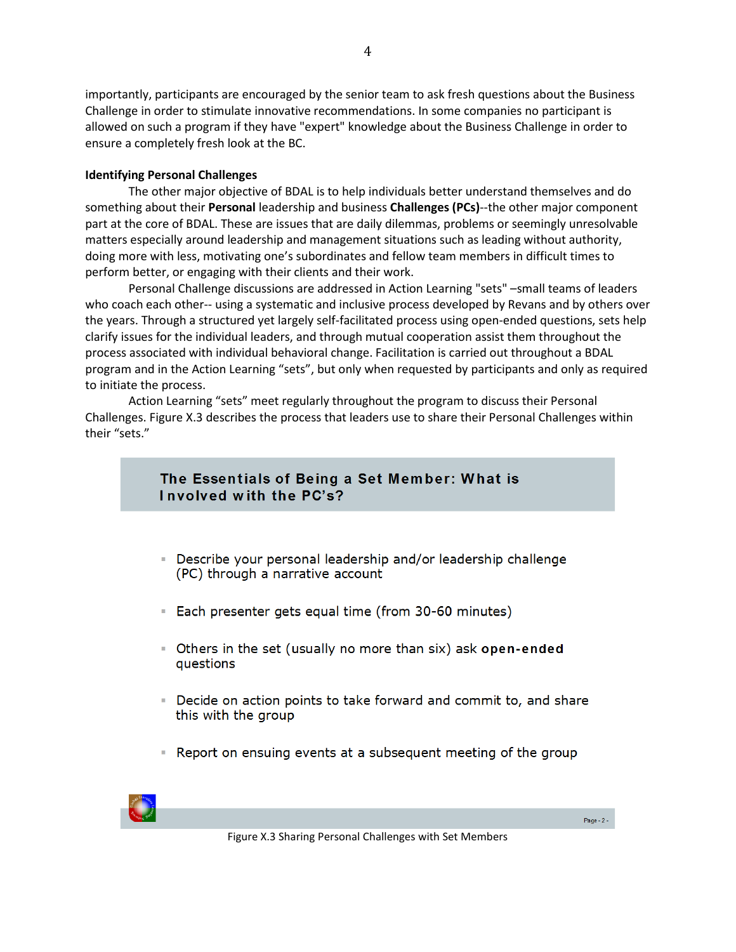importantly, participants are encouraged by the senior team to ask fresh questions about the Business Challenge in order to stimulate innovative recommendations. In some companies no participant is allowed on such a program if they have "expert" knowledge about the Business Challenge in order to ensure a completely fresh look at the BC.

### **Identifying Personal Challenges**

The other major objective of BDAL is to help individuals better understand themselves and do something about their **Personal** leadership and business **Challenges (PCs)**--the other major component part at the core of BDAL. These are issues that are daily dilemmas, problems or seemingly unresolvable matters especially around leadership and management situations such as leading without authority, doing more with less, motivating one's subordinates and fellow team members in difficult times to perform better, or engaging with their clients and their work.

Personal Challenge discussions are addressed in Action Learning "sets" – small teams of leaders who coach each other-- using a systematic and inclusive process developed by Revans and by others over the years. Through a structured yet largely self-facilitated process using open-ended questions, sets help clarify issues for the individual leaders, and through mutual cooperation assist them throughout the process associated with individual behavioral change. Facilitation is carried out throughout a BDAL program and in the Action Learning "sets", but only when requested by participants and only as required to initiate the process.

Action Learning "sets" meet regularly throughout the program to discuss their Personal Challenges. Figure X.3 describes the process that leaders use to share their Personal Challenges within their "sets."

## The Essentials of Being a Set Member: What is Involved with the PC's?

- Describe your personal leadership and/or leadership challenge (PC) through a narrative account
- Each presenter gets equal time (from 30-60 minutes)
- Others in the set (usually no more than six) ask open-ended questions
- Decide on action points to take forward and commit to, and share this with the group
- Report on ensuing events at a subsequent meeting of the group



Figure X.3 Sharing Personal Challenges with Set Members

Page -  $2 -$ 

4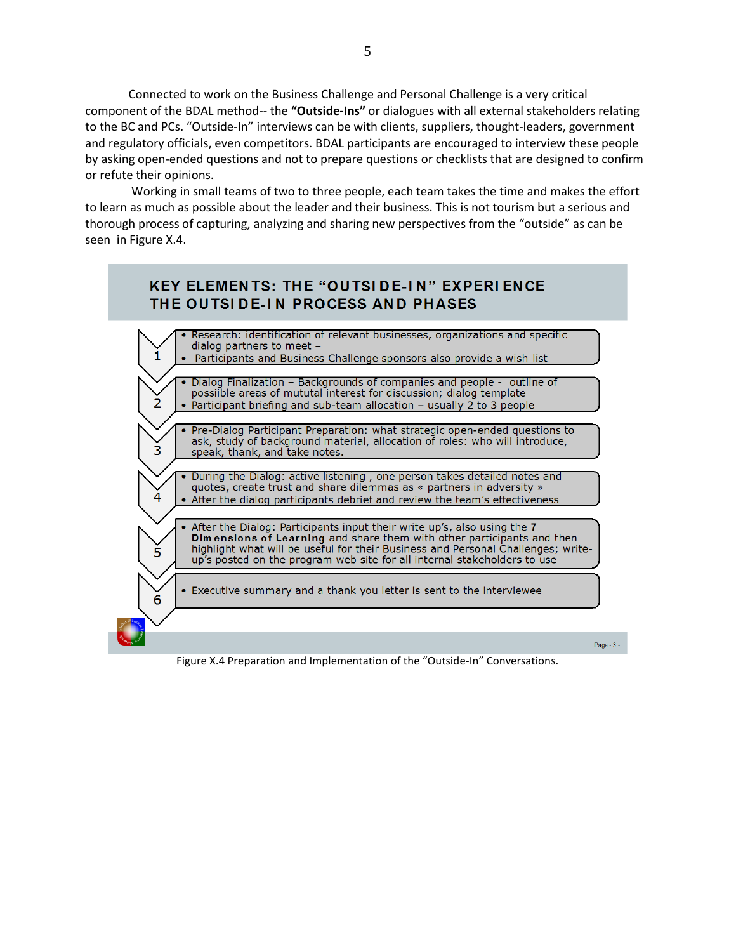Connected to work on the Business Challenge and Personal Challenge is a very critical component of the BDAL method-- the **"Outside-Ins"** or dialogues with all external stakeholders relating to the BC and PCs. "Outside-In" interviews can be with clients, suppliers, thought-leaders, government and regulatory officials, even competitors. BDAL participants are encouraged to interview these people by asking open-ended questions and not to prepare questions or checklists that are designed to confirm or refute their opinions.

Working in small teams of two to three people, each team takes the time and makes the effort to learn as much as possible about the leader and their business. This is not tourism but a serious and thorough process of capturing, analyzing and sharing new perspectives from the "outside" as can be seen in Figure X.4.



Figure X.4 Preparation and Implementation of the "Outside-In" Conversations.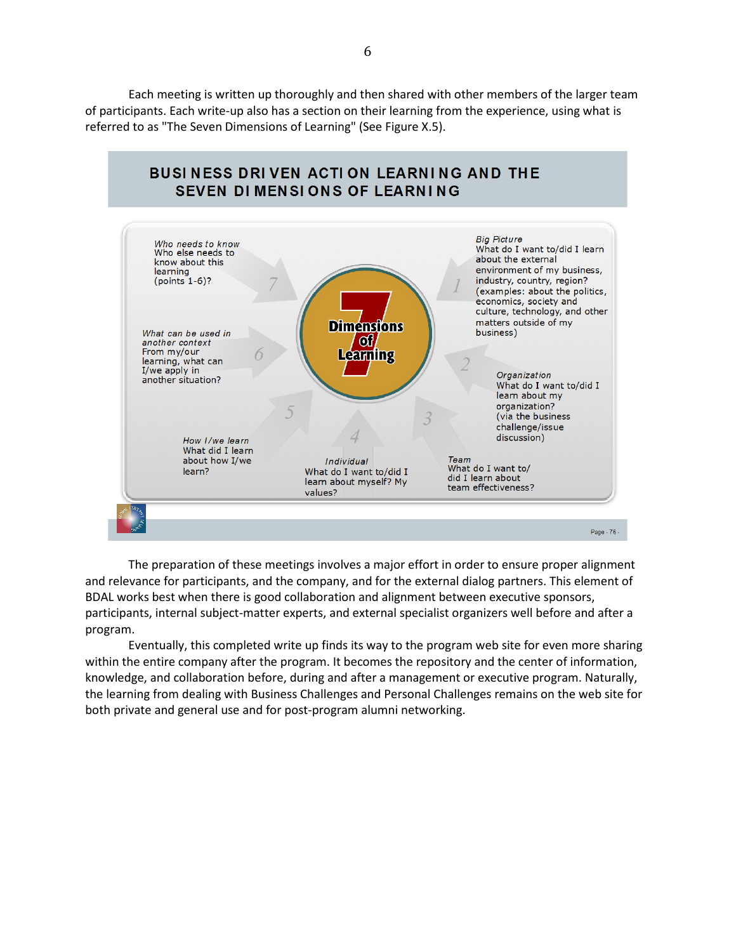Each meeting is written up thoroughly and then shared with other members of the larger team of participants. Each write-up also has a section on their learning from the experience, using what is referred to as "The Seven Dimensions of Learning" (See Figure X.5).



The preparation of these meetings involves a major effort in order to ensure proper alignment and relevance for participants, and the company, and for the external dialog partners. This element of BDAL works best when there is good collaboration and alignment between executive sponsors, participants, internal subject-matter experts, and external specialist organizers well before and after a program.

Eventually, this completed write up finds its way to the program web site for even more sharing within the entire company after the program. It becomes the repository and the center of information, knowledge, and collaboration before, during and after a management or executive program. Naturally, the learning from dealing with Business Challenges and Personal Challenges remains on the web site for both private and general use and for post-program alumni networking.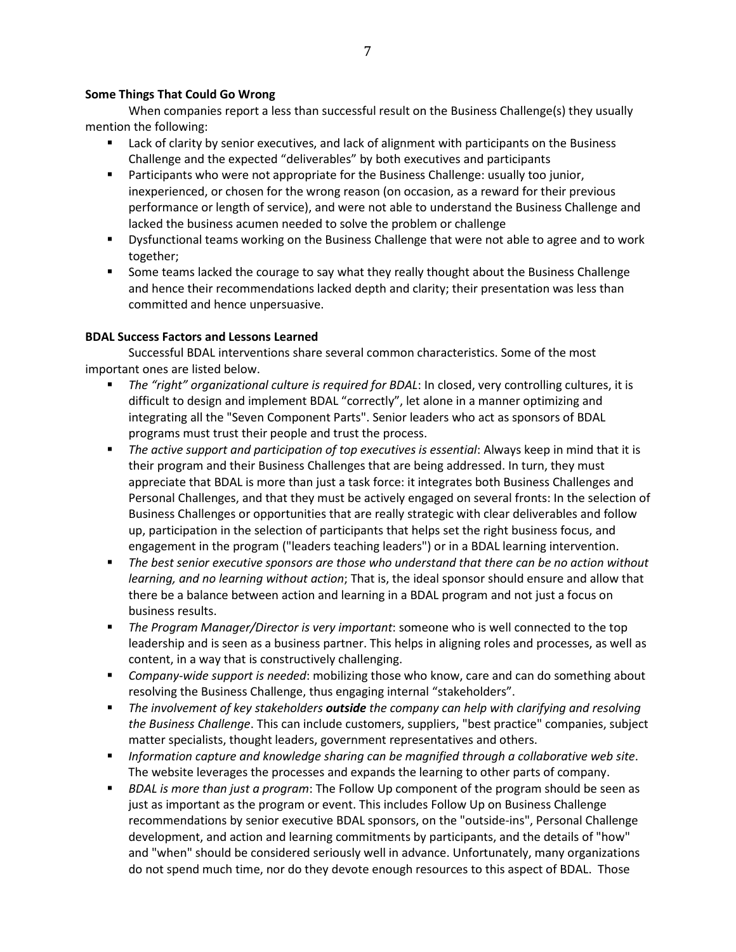#### **Some Things That Could Go Wrong**

When companies report a less than successful result on the Business Challenge(s) they usually mention the following:

- **EXECUTE:** Lack of clarity by senior executives, and lack of alignment with participants on the Business Challenge and the expected "deliverables" by both executives and participants
- Participants who were not appropriate for the Business Challenge: usually too junior, inexperienced, or chosen for the wrong reason (on occasion, as a reward for their previous performance or length of service), and were not able to understand the Business Challenge and lacked the business acumen needed to solve the problem or challenge
- Dysfunctional teams working on the Business Challenge that were not able to agree and to work together;
- Some teams lacked the courage to say what they really thought about the Business Challenge and hence their recommendations lacked depth and clarity; their presentation was less than committed and hence unpersuasive.

### **BDAL Success Factors and Lessons Learned**

Successful BDAL interventions share several common characteristics. Some of the most important ones are listed below.

- *The "right" organizational culture is required for BDAL*: In closed, very controlling cultures, it is difficult to design and implement BDAL "correctly", let alone in a manner optimizing and integrating all the "Seven Component Parts". Senior leaders who act as sponsors of BDAL programs must trust their people and trust the process.
- *The active support and participation of top executives is essential*: Always keep in mind that it is their program and their Business Challenges that are being addressed. In turn, they must appreciate that BDAL is more than just a task force: it integrates both Business Challenges and Personal Challenges, and that they must be actively engaged on several fronts: In the selection of Business Challenges or opportunities that are really strategic with clear deliverables and follow up, participation in the selection of participants that helps set the right business focus, and engagement in the program ("leaders teaching leaders") or in a BDAL learning intervention.
- *The best senior executive sponsors are those who understand that there can be no action without learning, and no learning without action*; That is, the ideal sponsor should ensure and allow that there be a balance between action and learning in a BDAL program and not just a focus on business results.
- *The Program Manager/Director is very important*: someone who is well connected to the top leadership and is seen as a business partner. This helps in aligning roles and processes, as well as content, in a way that is constructively challenging.
- *Company-wide support is needed*: mobilizing those who know, care and can do something about resolving the Business Challenge, thus engaging internal "stakeholders".
- *The involvement of key stakeholders outside the company can help with clarifying and resolving the Business Challenge*. This can include customers, suppliers, "best practice" companies, subject matter specialists, thought leaders, government representatives and others.
- *Information capture and knowledge sharing can be magnified through a collaborative web site*. The website leverages the processes and expands the learning to other parts of company.
- *BDAL is more than just a program*: The Follow Up component of the program should be seen as just as important as the program or event. This includes Follow Up on Business Challenge recommendations by senior executive BDAL sponsors, on the "outside-ins", Personal Challenge development, and action and learning commitments by participants, and the details of "how" and "when" should be considered seriously well in advance. Unfortunately, many organizations do not spend much time, nor do they devote enough resources to this aspect of BDAL. Those